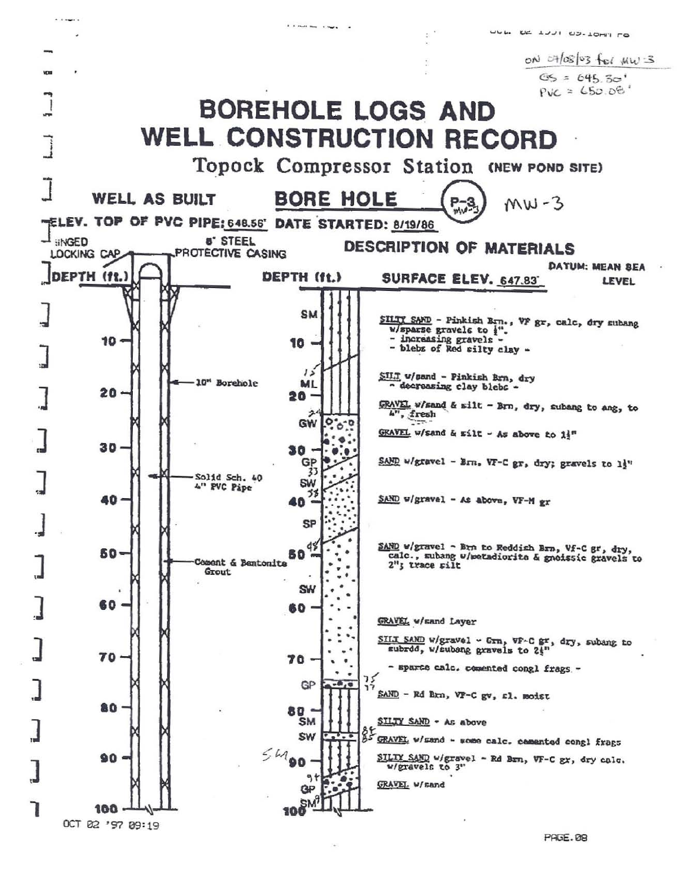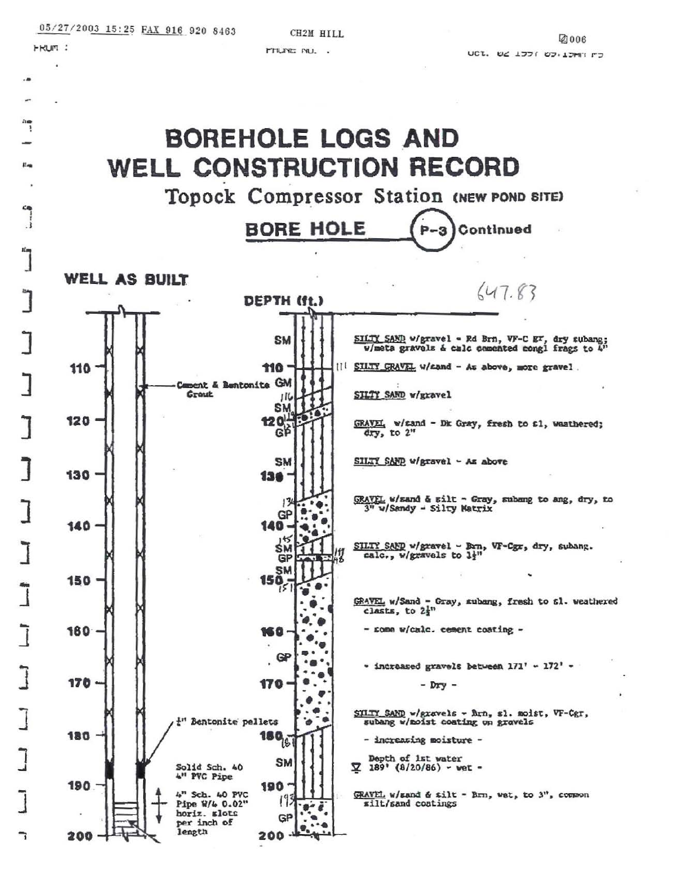**FRUM:** 

**PTIUNE NU. .**